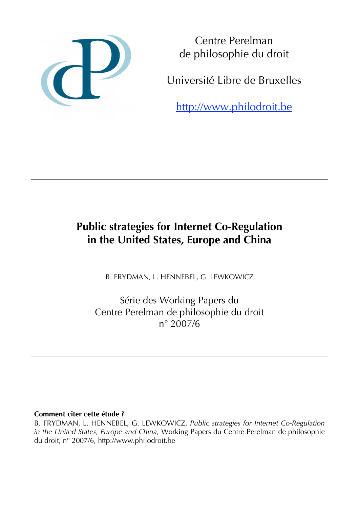

Centre Perelman de philosophie du droit

Université Libre de Bruxelles

http://www.philodroit.be

# **Public strategies for Internet Co-Regulation in the United States, Europe and China**

B. FRYDMAN, L. HENNEBEL, G. LEWKOWICZ

Série des Working Papers du Centre Perelman de philosophie du droit n° 2007/6

# **Comment citer cette étude ?**

B. FRYDMAN, L. HENNEBEL, G. LEWKOWICZ, *Public strategies for Internet Co-Regulation in the United States, Europe and China*, Working Papers du Centre Perelman de philosophie du droit, n° 2007/6, http://www.philodroit.be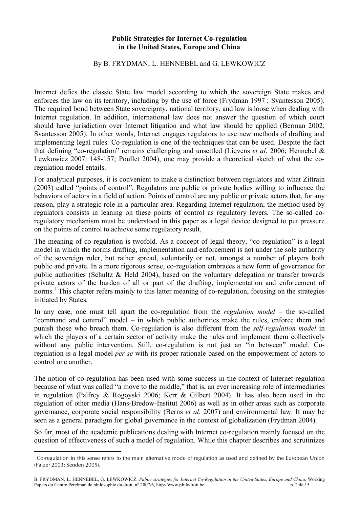#### **Public Strategies for Internet Co-regulation in the United States, Europe and China**

#### By B. FRYDMAN, L. HENNEBEL and G. LEWKOWICZ

Internet defies the classic State law model according to which the sovereign State makes and enforces the law on its territory, including by the use of force (Frydman 1997 ; Svantesson 2005). The required bond between State sovereignty, national territory, and law is loose when dealing with Internet regulation. In addition, international law does not answer the question of which court should have jurisdiction over Internet litigation and what law should be applied (Berman 2002; Svantesson 2005). In other words, Internet engages regulators to use new methods of drafting and implementing legal rules. Co-regulation is one of the techniques that can be used. Despite the fact that defining "co-regulation" remains challenging and unsettled (Lievens *et al*. 2006; Hennebel & Lewkowicz 2007: 148-157; Poullet 2004), one may provide a theoretical sketch of what the coregulation model entails.

For analytical purposes, it is convenient to make a distinction between regulators and what Zittrain (2003) called "points of control". Regulators are public or private bodies willing to influence the behaviors of actors in a field of action. Points of control are any public or private actors that, for any reason, play a strategic role in a particular area. Regarding Internet regulation, the method used by regulators consists in leaning on these points of control as regulatory levers. The so-called coregulatory mechanism must be understood in this paper as a legal device designed to put pressure on the points of control to achieve some regulatory result.

The meaning of co-regulation is twofold. As a concept of legal theory, "co-regulation" is a legal model in which the norms drafting, implementation and enforcement is not under the sole authority of the sovereign ruler, but rather spread, voluntarily or not, amongst a number of players both public and private. In a more rigorous sense, co-regulation embraces a new form of governance for public authorities (Schultz & Held 2004), based on the voluntary delegation or transfer towards private actors of the burden of all or part of the drafting, implementation and enforcement of norms.<sup>1</sup> This chapter refers mainly to this latter meaning of co-regulation, focusing on the strategies initiated by States.

In any case, one must tell apart the co-regulation from the *regulation model* – the so-called "command and control" model – in which public authorities make the rules, enforce them and punish those who breach them. Co-regulation is also different from the *self-regulation model* in which the players of a certain sector of activity make the rules and implement them collectively without any public intervention. Still, co-regulation is not just an "in between" model. Coregulation is a legal model *per se* with its proper rationale based on the empowerment of actors to control one another.

The notion of co-regulation has been used with some success in the context of Internet regulation because of what was called "a move to the middle," that is, an ever increasing role of intermediaries in regulation (Palfrey & Rogoyski 2006; Kerr & Gilbert 2004). It has also been used in the regulation of other media (Hans-Bredow-Institut 2006) as well as in other areas such as corporate governance, corporate social responsibility (Berns *et al*. 2007) and environmental law. It may be seen as a general paradigm for global governance in the context of globalization (Frydman 2004).

So far, most of the academic publications dealing with Internet co-regulation mainly focused on the question of effectiveness of such a model of regulation. While this chapter describes and scrutinizes

Co-regulation in this sense refers to the main alternative mode of regulation as used and defined by the European Union (Palzer 2003; Senden 2005).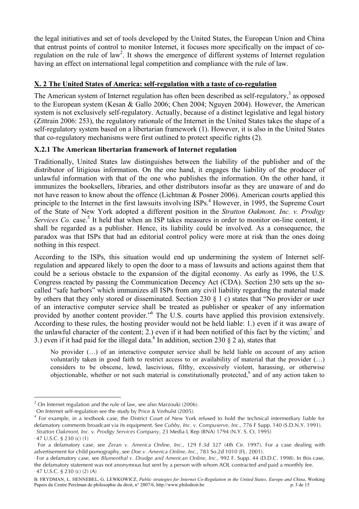the legal initiatives and set of tools developed by the United States, the European Union and China that entrust points of control to monitor Internet, it focuses more specifically on the impact of coregulation on the rule of law<sup>2</sup>. It shows the emergence of different systems of Internet regulation having an effect on international legal competition and compliance with the rule of law.

## **X. 2 The United States of America: self-regulation with a taste of co-regulation**

The American system of Internet regulation has often been described as self-regulatory,<sup>3</sup> as opposed to the European system (Kesan & Gallo 2006; Chen 2004; Nguyen 2004). However, the American system is not exclusively self-regulatory. Actually, because of a distinct legislative and legal history (Zittrain 2006: 253), the regulatory rationale of the Internet in the United States takes the shape of a self-regulatory system based on a libertarian framework (1). However, it is also in the United States that co-regulatory mechanisms were first outlined to protect specific rights (2).

#### **X.2.1 The American libertarian framework of Internet regulation**

Traditionally, United States law distinguishes between the liability of the publisher and of the distributor of litigious information. On the one hand, it engages the liability of the producer of unlawful information with that of the one who publishes the information. On the other hand, it immunizes the booksellers, libraries, and other distributors insofar as they are unaware of and do not have reason to know about the offence (Lichtman & Posner 2006). American courts applied this principle to the Internet in the first lawsuits involving ISPs. <sup>4</sup> However, in 1995, the Supreme Court of the State of New York adopted a different position in the *Stratton Oakmont, Inc. v. Prodigy* Services Co. case.<sup>5</sup> It held that when an ISP takes measures in order to monitor on-line content, it shall be regarded as a publisher. Hence, its liability could be involved. As a consequence, the paradox was that ISPs that had an editorial control policy were more at risk than the ones doing nothing in this respect.

According to the ISPs, this situation would end up undermining the system of Internet selfregulation and appeared likely to open the door to a mass of lawsuits and actions against them that could be a serious obstacle to the expansion of the digital economy. As early as 1996, the U.S. Congress reacted by passing the Communication Decency Act (CDA). Section 230 sets up the socalled "safe harbors" which immunizes all ISPs from any civil liability regarding the material made by others that they only stored or disseminated. Section 230 § 1 c) states that "No provider or user of an interactive computer service shall be treated as publisher or speaker of any information provided by another content provider."<sup>6</sup> The U.S. courts have applied this provision extensively. According to these rules, the hosting provider would not be held liable: 1.) even if it was aware of the unlawful character of the content; 2.) even if it had been notified of this fact by the victim;<sup>7</sup> and 3.) even if it had paid for the illegal data.<sup>8</sup> In addition, section 230 § 2 a), states that

No provider (…) of an interactive computer service shall be held liable on account of any action voluntarily taken in good faith to restrict access to or availability of material that the provider (…) considers to be obscene, lewd, lascivious, filthy, excessively violent, harassing, or otherwise objectionable, whether or not such material is constitutionally protected,<sup>9</sup> and of any action taken to

 $2$  On Internet regulation and the rule of law, see also Marzouki (2006).

<sup>3</sup> On Internet self-regulation see the study by Price & Verhulst (2005).

<sup>4</sup> For example, in a textbook case, the District Court of New York refused to hold the technical intermediary liable for defamatory comments broadcast via its equipment. See *Cubby, Inc. v. Compuserve, Inc.,* 776 F Supp. 140 (S.D.N.Y. 1991). 5 *Stratton Oakmont, Inc.* v*. Prodigy Services Company*, 23 Media L Rep (BNA) 1794 (N.Y. S. Ct. 1995)

<sup>6</sup> 47 U.S.C. § 230 (c) (1)

<sup>7</sup> For a defamatory case, see *Zeran v. America Online, Inc.*, 129 F.3d 327 (4th Cir. 1997). For a case dealing with advertisement for child pornography, see *Doe v. America Online, Inc.*, 783 So.2d 1010 (FL. 2001).

<sup>8</sup> For a defamatory case, see *Blumenthal v. Drudge and American Online, Inc.*, 992 F. Supp. 44 (D.D.C. 1998). In this case, the defamatory statement was not anonymous but sent by a person with whom AOL contracted and paid a monthly fee.

<sup>9</sup> 47 U.S.C. § 230 (c) (2) (A)

B. FRYDMAN, L. HENNEBEL, G. LEWKOWICZ, *Public strategies for Internet Co-Regulation in the United States, Europe and China*, Working Papers du Centre Perelman de philosophie du droit, n° 2007/6, http://www.philodroit.be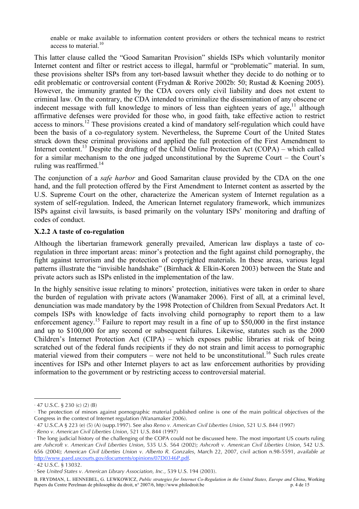enable or make available to information content providers or others the technical means to restrict access to material.<sup>10</sup>

This latter clause called the "Good Samaritan Provision" shields ISPs which voluntarily monitor Internet content and filter or restrict access to illegal, harmful or "problematic" material. In sum, these provisions shelter ISPs from any tort-based lawsuit whether they decide to do nothing or to edit problematic or controversial content (Frydman & Rorive 2002b: 50; Rustad & Koening 2005). However, the immunity granted by the CDA covers only civil liability and does not extent to criminal law. On the contrary, the CDA intended to criminalize the dissemination of any obscene or indecent message with full knowledge to minors of less than eighteen years of age,<sup>11</sup> although affirmative defenses were provided for those who, in good faith, take effective action to restrict access to minors.<sup>12</sup> These provisions created a kind of mandatory self-regulation which could have been the basis of a co-regulatory system. Nevertheless, the Supreme Court of the United States struck down these criminal provisions and applied the full protection of the First Amendment to Internet content.<sup>13</sup> Despite the drafting of the Child Online Protection Act (COPA) – which called for a similar mechanism to the one judged unconstitutional by the Supreme Court – the Court's ruling was reaffirmed.<sup>14</sup>

The conjunction of a *safe harbor* and Good Samaritan clause provided by the CDA on the one hand, and the full protection offered by the First Amendment to Internet content as asserted by the U.S. Supreme Court on the other, characterize the American system of Internet regulation as a system of self-regulation. Indeed, the American Internet regulatory framework, which immunizes ISPs against civil lawsuits, is based primarily on the voluntary ISPs' monitoring and drafting of codes of conduct.

#### **X.2.2 A taste of co-regulation**

Although the libertarian framework generally prevailed, American law displays a taste of coregulation in three important areas: minor's protection and the fight against child pornography, the fight against terrorism and the protection of copyrighted materials. In these areas, various legal patterns illustrate the "invisible handshake" (Birnhack & Elkin-Koren 2003) between the State and private actors such as ISPs enlisted in the implementation of the law.

In the highly sensitive issue relating to minors' protection, initiatives were taken in order to share the burden of regulation with private actors (Wanamaker 2006). First of all, at a criminal level, denunciation was made mandatory by the 1998 Protection of Children from Sexual Predators Act. It compels ISPs with knowledge of facts involving child pornography to report them to a law enforcement agency.<sup>15</sup> Failure to report may result in a fine of up to \$50,000 in the first instance and up to \$100,000 for any second or subsequent failures. Likewise, statutes such as the 2000 Children's Internet Protection Act (CIPA) – which exposes public libraries at risk of being scratched out of the federal funds recipients if they do not strain and limit access to pornographic material viewed from their computers – were not held to be unconstitutional.<sup>16</sup> Such rules create incentives for ISPs and other Internet players to act as law enforcement authorities by providing information to the government or by restricting access to controversial material.

<sup>10</sup> 47 U.S.C. § 230 (c) (2) (B)

the protection of minors against pornographic material published online is one of the main political objectives of the Congress in the context of Internet regulation (Wanamaker 2006).

<sup>12</sup> 47 U.S.C.A § 223 (e) (5) (A) (supp.1997). See also *Reno v. American Civil Liberties Union*, 521 U.S. 844 (1997)

<sup>13</sup> *Reno v. American Civil Liberties Union*, 521 U.S. 844 (1997)

<sup>14</sup> The long judicial history of the challenging of the COPA could not be discussed here. The most important US courts ruling are *Ashcroft v. American Civil Liberties Union*, 535 U.S. 564 (2002); *Ashcroft v. American Civil Liberties Union*, 542 U.S. 656 (2004); *American Civil Liberties Union v. Alberto R. Gonzales*, March 22, 2007, civil action n.98-5591, *available at* http://www.paed.uscourts.gov/documents/opinions/07D0346P.pdf.

<sup>15</sup> 42 U.S.C. § 13032.

<sup>16</sup> See *United States v. American Library Association, Inc.*, 539 U.S. 194 (2003).

B. FRYDMAN, L. HENNEBEL, G. LEWKOWICZ, *Public strategies for Internet Co-Regulation in the United States, Europe and China*, Working Papers du Centre Perelman de philosophie du droit, n° 2007/6, http://www.philodroit.be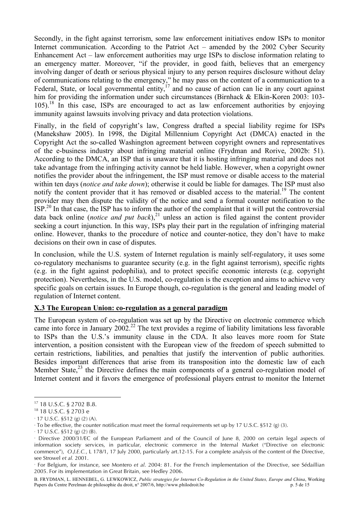Secondly, in the fight against terrorism, some law enforcement initiatives endow ISPs to monitor Internet communication. According to the Patriot Act – amended by the 2002 Cyber Security Enhancement Act – law enforcement authorities may urge ISPs to disclose information relating to an emergency matter. Moreover, "if the provider, in good faith, believes that an emergency involving danger of death or serious physical injury to any person requires disclosure without delay of communications relating to the emergency," he may pass on the content of a communication to a Federal, State, or local governmental entity,  $17$  and no cause of action can lie in any court against him for providing the information under such circumstances (Birnhack & Elkin-Koren 2003: 103-105).<sup>18</sup> In this case, ISPs are encouraged to act as law enforcement authorities by enjoying immunity against lawsuits involving privacy and data protection violations.

Finally, in the field of copyright's law, Congress drafted a special liability regime for ISPs (Manekshaw 2005). In 1998, the Digital Millennium Copyright Act (DMCA) enacted in the Copyright Act the so-called Washington agreement between copyright owners and representatives of the e-business industry about infringing material online (Frydman and Rorive, 2002b: 51). According to the DMCA, an ISP that is unaware that it is hosting infringing material and does not take advantage from the infringing activity cannot be held liable. However, when a copyright owner notifies the provider about the infringement, the ISP must remove or disable access to the material within ten days (*notice and take down*); otherwise it could be liable for damages. The ISP must also notify the content provider that it has removed or disabled access to the material.<sup>19</sup> The content provider may then dispute the validity of the notice and send a formal counter notification to the  $ISP.^{20}$  In that case, the ISP has to inform the author of the complaint that it will put the controversial data back online (*notice and put back*), <sup>21</sup> unless an action is filed against the content provider seeking a court injunction. In this way, ISPs play their part in the regulation of infringing material online. However, thanks to the procedure of notice and counter-notice, they don't have to make decisions on their own in case of disputes.

In conclusion, while the U.S. system of Internet regulation is mainly self-regulatory, it uses some co-regulatory mechanisms to guarantee security (e.g. in the fight against terrorism), specific rights (e.g. in the fight against pedophilia), and to protect specific economic interests (e.g. copyright protection). Nevertheless, in the U.S. model, co-regulation is the exception and aims to achieve very specific goals on certain issues. In Europe though, co-regulation is the general and leading model of regulation of Internet content.

#### **X.3 The European Union: co-regulation as a general paradigm**

The European system of co-regulation was set up by the Directive on electronic commerce which came into force in January 2002.<sup>22</sup> The text provides a regime of liability limitations less favorable to ISPs than the U.S.'s immunity clause in the CDA. It also leaves more room for State intervention, a position consistent with the European view of the freedom of speech submitted to certain restrictions, liabilities, and penalties that justify the intervention of public authorities. Besides important differences that arise from its transposition into the domestic law of each Member State,<sup>23</sup> the Directive defines the main components of a general co-regulation model of Internet content and it favors the emergence of professional players entrust to monitor the Internet

21 17 U.S.C. §512 (g) (2) (B).

 $\overline{a}$ <sup>17</sup> 18 U.S.C. § 2702 B.8.

<sup>18</sup> 18 U.S.C. § 2703 e

<sup>19</sup> 17 U.S.C. §512 (g) (2) (A).

To be effective, the counter notification must meet the formal requirements set up by 17 U.S.C. §512 (g) (3).

<sup>22</sup> Directive 2000/31/EC of the European Parliament and of the Council of June 8, 2000 on certain legal aspects of information society services, in particular, electronic commerce in the Internal Market ("Directive on electronic commerce"), *O.J.E.C.*, L 178/1, 17 July 2000, particularly art.12-15. For a complete analysis of the content of the Directive, see Strowel *et al.* 2001.

<sup>23</sup> For Belgium, for instance, see Montero *et al*. 2004: 81. For the French implementation of the Directive, see Sédaillian 2005. For its implementation in Great Britain, see Hedley 2006.

B. FRYDMAN, L. HENNEBEL, G. LEWKOWICZ, *Public strategies for Internet Co-Regulation in the United States, Europe and China*, Working Papers du Centre Perelman de philosophie du droit, n° 2007/6, http://www.philodroit.be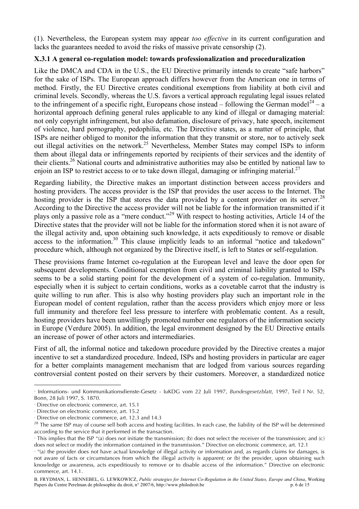(1). Nevertheless, the European system may appear *too effective* in its current configuration and lacks the guarantees needed to avoid the risks of massive private censorship (2).

## **X.3.1 A general co-regulation model: towards professionalization and proceduralization**

Like the DMCA and CDA in the U.S., the EU Directive primarily intends to create "safe harbors" for the sake of ISPs. The European approach differs however from the American one in terms of method. Firstly, the EU Directive creates conditional exemptions from liability at both civil and criminal levels. Secondly, whereas the U.S. favors a vertical approach regulating legal issues related to the infringement of a specific right, Europeans chose instead – following the German model<sup>24</sup> – a horizontal approach defining general rules applicable to any kind of illegal or damaging material: not only copyright infringement, but also defamation, disclosure of privacy, hate speech, incitement of violence, hard pornography, pedophilia, etc. The Directive states, as a matter of principle, that ISPs are neither obliged to monitor the information that they transmit or store, nor to actively seek out illegal activities on the network.<sup>25</sup> Nevertheless, Member States may compel ISPs to inform them about illegal data or infringements reported by recipients of their services and the identity of their clients. <sup>26</sup> National courts and administrative authorities may also be entitled by national law to enjoin an ISP to restrict access to or to take down illegal, damaging or infringing material.<sup>27</sup>

Regarding liability, the Directive makes an important distinction between access providers and hosting providers. The access provider is the ISP that provides the user access to the Internet. The hosting provider is the ISP that stores the data provided by a content provider on its server.<sup>28</sup> According to the Directive the access provider will not be liable for the information transmitted if it plays only a passive role as a "mere conduct."<sup>29</sup> With respect to hosting activities, Article 14 of the Directive states that the provider will not be liable for the information stored when it is not aware of the illegal activity and, upon obtaining such knowledge, it acts expeditiously to remove or disable access to the information.<sup>30</sup> This clause implicitly leads to an informal "notice and takedown" procedure which, although not organized by the Directive itself, is left to States or self-regulation.

These provisions frame Internet co-regulation at the European level and leave the door open for subsequent developments. Conditional exemption from civil and criminal liability granted to ISPs seems to be a solid starting point for the development of a system of co-regulation. Immunity, especially when it is subject to certain conditions, works as a covetable carrot that the industry is quite willing to run after. This is also why hosting providers play such an important role in the European model of content regulation, rather than the access providers which enjoy more or less full immunity and therefore feel less pressure to interfere with problematic content. As a result, hosting providers have been unwillingly promoted number one regulators of the information society in Europe (Verdure 2005). In addition, the legal environment designed by the EU Directive entails an increase of power of other actors and intermediaries.

First of all, the informal notice and takedown procedure provided by the Directive creates a major incentive to set a standardized procedure. Indeed, ISPs and hosting providers in particular are eager for a better complaints management mechanism that are lodged from various sources regarding controversial content posted on their servers by their customers. Moreover, a standardized notice

<sup>24</sup> Informations- und Kommunikationsdienste-Gesetz - IuKDG vom 22 Juli 1997, *Bundesgesetzblatt*, 1997, Teil I Nr. 52, Bonn, 28 Juli 1997, S. 1870.

<sup>25</sup> Directive on electronic commerce, art. 15.1

<sup>26</sup> Directive on electronic commerce, art. 15.2

<sup>27</sup> Directive on electronic commerce, art. 12.3 and 14.3

<sup>&</sup>lt;sup>28</sup> The same ISP may of course sell both access and hosting facilities. In each case, the liability of the ISP will be determined according to the service that it performed in the transaction.

<sup>29</sup> This implies that the ISP "(a) does not initiate the transmission; (b) does not select the receiver of the transmission; and (c) does not select or modify the information contained in the transmission." Directive on electronic commerce, art. 12.1

 $\,^{\circ}$  "(a) the provider does not have actual knowledge of illegal activity or information and, as regards claims for damages, is not aware of facts or circumstances from which the illegal activity is apparent; or (b) the provider, upon obtaining such knowledge or awareness, acts expeditiously to remove or to disable access of the information." Directive on electronic commerce, art. 14.1.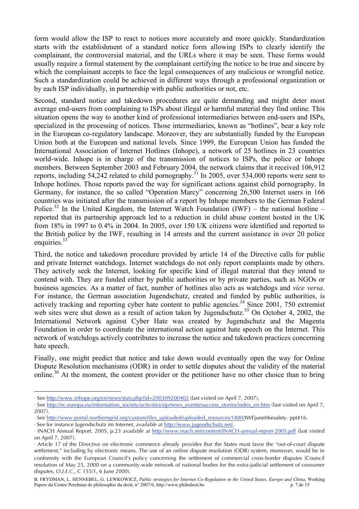form would allow the ISP to react to notices more accurately and more quickly. Standardization starts with the establishment of a standard notice form allowing ISPs to clearly identify the complainant, the controversial material, and the URLs where it may be seen. These forms would usually require a formal statement by the complainant certifying the notice to be true and sincere by which the complainant accepts to face the legal consequences of any malicious or wrongful notice. Such a standardization could be achieved in different ways through a professional organization or by each ISP individually, in partnership with public authorities or not, etc.

Second, standard notice and takedown procedures are quite demanding and might deter most average end-users from complaining to ISPs about illegal or harmful material they find online. This situation opens the way to another kind of professional intermediaries between end-users and ISPs, specialized in the processing of notices. Those intermediaries, known as "hotlines", bear a key role in the European co-regulatory landscape. Moreover, they are substantially funded by the European Union both at the European and national levels. Since 1999, the European Union has funded the International Association of Internet Hotlines (Inhope), a network of 25 hotlines in 23 countries world-wide. Inhope is in charge of the transmission of notices to ISPs, the police or Inhope members. Between September 2003 and February 2004, the network claims that it received 106,912 reports, including  $54,242$  related to child pornography.<sup>31</sup> In 2005, over 534,000 reports were sent to Inhope hotlines. Those reports paved the way for significant actions against child pornography. In Germany, for instance, the so called "Operation Marcy" concerning 26,500 Internet users in 166 countries was initiated after the transmission of a report by Inhope members to the German Federal Police.<sup>32</sup> In the United Kingdom, the Internet Watch Foundation (IWF) – the national hotline – reported that its partnership approach led to a reduction in child abuse content hosted in the UK from 18% in 1997 to 0.4% in 2004. In 2005, over 150 UK citizens were identified and reported to the British police by the IWF, resulting in 14 arrests and the current assistance in over 20 police enquiries.<sup>33</sup>

Third, the notice and takedown procedure provided by article 14 of the Directive calls for public and private Internet watchdogs. Internet watchdogs do not only report complaints made by others. They actively seek the Internet, looking for specific kind of illegal material that they intend to contend with. They are funded either by public authorities or by private parties, such as NGOs or business agencies. As a matter of fact, number of hotlines also acts as watchdogs and *vice versa*. For instance, the German association Jugendschutz, created and funded by public authorities, is actively tracking and reporting cyber hate content to public agencies.<sup>34</sup> Since 2001, 750 extremist web sites were shut down as a result of action taken by Jugendschutz.<sup>35</sup> On October 4, 2002, the International Network against Cyber Hate was created by Jugendschutz and the Magenta Foundation in order to coordinate the international action against hate speech on the Internet. This network of watchdogs actively contributes to increase the notice and takedown practices concerning hate speech.

Finally, one might predict that notice and take down would eventually open the way for Online Dispute Resolution mechanisms (ODR) in order to settle disputes about the validity of the material online.<sup>36</sup> At the moment, the content provider or the petitioner have no other choice than to bring

 $\overline{a}$ 31 See http://www.inhope.org/en/news/stats.php?id=200309200402 (last visited on April 7, 2007).

<sup>&</sup>lt;sup>\*</sup> See http://ec.europa.eu/information\_society/activities/sip/news\_events/success\_stories/index\_en.htm (last visited on April 7, 2007).

<sup>33</sup> See http://www.portal.northerngrid.org/custom/files\_uploaded/uploaded\_resources/1880/IWFjune06esafety. ppt#16.

<sup>34</sup> See for instance Jugendschutz im Internet, *available at* http://www.jugendschutz.net/.

<sup>35</sup> INACH Annual Report, 2005, p.23 *available at* http://www.inach.net/content/INACH-annual-report-2005.pdf (last visited on April 7, 2007).

<sup>36</sup> Article 17 of the Directive on electronic commerce already provides that the States must favor the "out-of-court dispute settlement," including by electronic means. The use of an online dispute resolution (ODR) system, moreover, would be in conformity with the European Council's policy concerning the settlement of commercial cross-border disputes (Council resolution of May 25, 2000 on a community-wide network of national bodies for the extra-judicial settlement of consumer disputes, *O.J.E.C.*, C 155/1, 6 June 2000).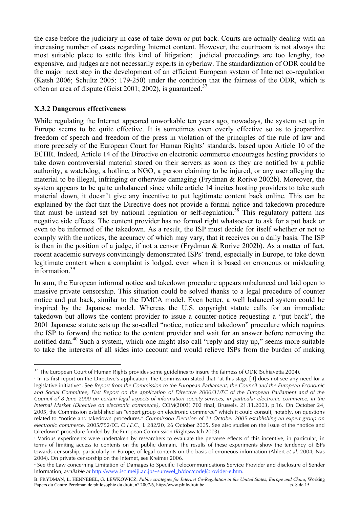the case before the judiciary in case of take down or put back. Courts are actually dealing with an increasing number of cases regarding Internet content. However, the courtroom is not always the most suitable place to settle this kind of litigation: judicial proceedings are too lengthy, too expensive, and judges are not necessarily experts in cyberlaw. The standardization of ODR could be the major next step in the development of an efficient European system of Internet co-regulation (Katsh 2006; Schultz 2005: 179-250) under the condition that the fairness of the ODR, which is often an area of dispute (Geist 2001; 2002), is guaranteed.<sup>37</sup>

#### **X.3.2 Dangerous effectiveness**

 $\overline{a}$ 

While regulating the Internet appeared unworkable ten years ago, nowadays, the system set up in Europe seems to be quite effective. It is sometimes even overly effective so as to jeopardize freedom of speech and freedom of the press in violation of the principles of the rule of law and more precisely of the European Court for Human Rights' standards, based upon Article 10 of the ECHR. Indeed, Article 14 of the Directive on electronic commerce encourages hosting providers to take down controversial material stored on their servers as soon as they are notified by a public authority, a watchdog, a hotline, a NGO, a person claiming to be injured, or any user alleging the material to be illegal, infringing or otherwise damaging (Frydman & Rorive 2002b). Moreover, the system appears to be quite unbalanced since while article 14 incites hosting providers to take such material down, it doesn't give any incentive to put legitimate content back online. This can be explained by the fact that the Directive does not provide a formal notice and takedown procedure that must be instead set by national regulation or self-regulation.<sup>38</sup> This regulatory pattern has negative side effects. The content provider has no formal right whatsoever to ask for a put back or even to be informed of the takedown. As a result, the ISP must decide for itself whether or not to comply with the notices, the accuracy of which may vary, that it receives on a daily basis. The ISP is then in the position of a judge, if not a censor (Frydman & Rorive 2002b). As a matter of fact, recent academic surveys convincingly demonstrated ISPs' trend, especially in Europe, to take down legitimate content when a complaint is lodged, even when it is based on erroneous or misleading information. 39

In sum, the European informal notice and takedown procedure appears unbalanced and laid open to massive private censorship. This situation could be solved thanks to a legal procedure of counter notice and put back, similar to the DMCA model. Even better, a well balanced system could be inspired by the Japanese model. Whereas the U.S. copyright statute calls for an immediate takedown but allows the content provider to issue a counter-notice requesting a "put back", the 2001 Japanese statute sets up the so-called "notice, notice and takedown" procedure which requires the ISP to forward the notice to the content provider and wait for an answer before removing the notified data.<sup>40</sup> Such a system, which one might also call "reply and stay up," seems more suitable to take the interests of all sides into account and would relieve ISPs from the burden of making

<sup>&</sup>lt;sup>37</sup> The European Court of Human Rights provides some guidelines to insure the fairness of ODR (Schiavetta 2004).

<sup>38</sup> In its first report on the Directive's application, the Commission stated that "at this stage [it] does not see any need for a legislative initiative". See *Report from the Commission to the European Parliament, the Council and the European Economic* and Social Committee. First Report on the application of Directive 2000/31/EC of the European Parliament and of the Council of 8 June 2000 on certain legal aspects of information society services, in particular electronic commerce, in the *Internal Market (Directive on electronic commerce)*, COM(2003) 702 final, Brussels, 21.11.2003, p.16. On October 24, 2005, the Commission established an "expert group on electronic commerce" which it could consult, notably, on questions related to "notice and takedown procedures." *Commission Decision of 24 October 2005 establishing an expert group on electronic commerce*, 2005/752/EC, *O.J.E.C.*, L 282/20, 26 October 2005. See also studies on the issue of the "notice and takedown" procedure funded by the European Commission (Rightswatch 2003).

<sup>39</sup> Various experiments were undertaken by researchers to evaluate the perverse effects of this incentive, in particular, in terms of limiting access to contents on the public domain. The results of these experiments show the tendency of ISPs towards censorship, particularly in Europe, of legal contents on the basis of erroneous information (Ahlert *et al*. 2004; Nas 2004). On private censorship on the Internet, see Kreimer 2006.

<sup>40</sup> See the Law concerning Limitation of Damages to Specific Telecommunications Service Provider and disclosure of Sender Information, *available at* http://www.isc.meiji.ac.jp/~sumwel\_h/doc/codeJ/provider-e.htm.

B. FRYDMAN, L. HENNEBEL, G. LEWKOWICZ, *Public strategies for Internet Co-Regulation in the United States, Europe and China*, Working Papers du Centre Perelman de philosophie du droit, n° 2007/6, http://www.philodroit.be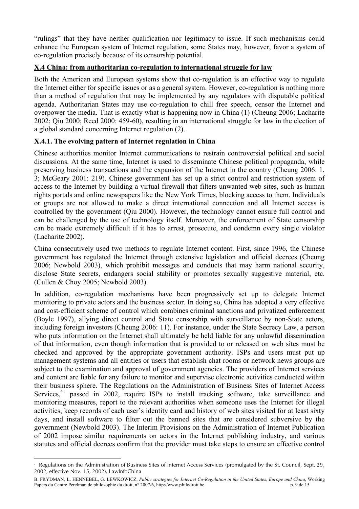"rulings" that they have neither qualification nor legitimacy to issue. If such mechanisms could enhance the European system of Internet regulation, some States may, however, favor a system of co-regulation precisely because of its censorship potential.

## **X.4 China: from authoritarian co-regulation to international struggle for law**

Both the American and European systems show that co-regulation is an effective way to regulate the Internet either for specific issues or as a general system. However, co-regulation is nothing more than a method of regulation that may be implemented by any regulators with disputable political agenda. Authoritarian States may use co-regulation to chill free speech, censor the Internet and overpower the media. That is exactly what is happening now in China (1) (Cheung 2006; Lacharite 2002; Qiu 2000; Reed 2000: 459-60), resulting in an international struggle for law in the election of a global standard concerning Internet regulation (2).

## **X.4.1. The evolving pattern of Internet regulation in China**

Chinese authorities monitor Internet communications to restrain controversial political and social discussions. At the same time, Internet is used to disseminate Chinese political propaganda, while preserving business transactions and the expansion of the Internet in the country (Cheung 2006: 1, 3; McGeary 2001: 219). Chinese government has set up a strict control and restriction system of access to the Internet by building a virtual firewall that filters unwanted web sites, such as human rights portals and online newspapers like the New York Times, blocking access to them. Individuals or groups are not allowed to make a direct international connection and all Internet access is controlled by the government (Qiu 2000). However, the technology cannot ensure full control and can be challenged by the use of technology itself. Moreover, the enforcement of State censorship can be made extremely difficult if it has to arrest, prosecute, and condemn every single violator (Lacharite 2002).

China consecutively used two methods to regulate Internet content. First, since 1996, the Chinese government has regulated the Internet through extensive legislation and official decrees (Cheung 2006; Newbold 2003), which prohibit messages and conducts that may harm national security, disclose State secrets, endangers social stability or promotes sexually suggestive material, etc. (Cullen & Choy 2005; Newbold 2003).

In addition, co-regulation mechanisms have been progressively set up to delegate Internet monitoring to private actors and the business sector. In doing so, China has adopted a very effective and cost-efficient scheme of control which combines criminal sanctions and privatized enforcement (Boyle 1997), allying direct control and State censorship with surveillance by non-State actors, including foreign investors (Cheung 2006: 11). For instance, under the State Secrecy Law, a person who puts information on the Internet shall ultimately be held liable for any unlawful dissemination of that information, even though information that is provided to or released on web sites must be checked and approved by the appropriate government authority. ISPs and users must put up management systems and all entities or users that establish chat rooms or network news groups are subject to the examination and approval of government agencies. The providers of Internet services and content are liable for any failure to monitor and supervise electronic activities conducted within their business sphere. The Regulations on the Administration of Business Sites of Internet Access Services,<sup>41</sup> passed in 2002, require ISPs to install tracking software, take surveillance and monitoring measures, report to the relevant authorities when someone uses the Internet for illegal activities, keep records of each user's identity card and history of web sites visited for at least sixty days, and install software to filter out the banned sites that are considered subversive by the government (Newbold 2003). The Interim Provisions on the Administration of Internet Publication of 2002 impose similar requirements on actors in the Internet publishing industry, and various statutes and official decrees confirm that the provider must take steps to ensure an effective control

 $\overline{a}$ Regulations on the Administration of Business Sites of Internet Access Services (promulgated by the St. Council, Sept. 29, 2002, effective Nov. 15, 2002), LawInfoChina

B. FRYDMAN, L. HENNEBEL, G. LEWKOWICZ, *Public strategies for Internet Co-Regulation in the United States, Europe and China*, Working Papers du Centre Perelman de philosophie du droit, n° 2007/6, http://www.philodroit.be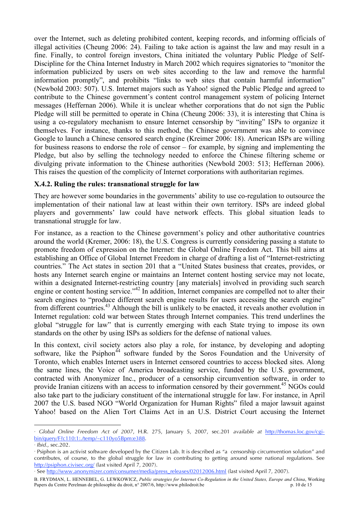over the Internet, such as deleting prohibited content, keeping records, and informing officials of illegal activities (Cheung 2006: 24). Failing to take action is against the law and may result in a fine. Finally, to control foreign investors, China initiated the voluntary Public Pledge of Self-Discipline for the China Internet Industry in March 2002 which requires signatories to "monitor the information publicized by users on web sites according to the law and remove the harmful information promptly", and prohibits "links to web sites that contain harmful information" (Newbold 2003: 507). U.S. Internet majors such as Yahoo! signed the Public Pledge and agreed to contribute to the Chinese government's content control management system of policing Internet messages (Heffernan 2006). While it is unclear whether corporations that do not sign the Public Pledge will still be permitted to operate in China (Cheung 2006: 33), it is interesting that China is using a co-regulatory mechanism to ensure Internet censorship by "inviting" ISPs to organize it themselves. For instance, thanks to this method, the Chinese government was able to convince Google to launch a Chinese censored search engine (Kreimer 2006: 18). American ISPs are willing for business reasons to endorse the role of censor – for example, by signing and implementing the Pledge, but also by selling the technology needed to enforce the Chinese filtering scheme or divulging private information to the Chinese authorities (Newbold 2003: 513; Heffernan 2006). This raises the question of the complicity of Internet corporations with authoritarian regimes.

## **X.4.2. Ruling the rules: transnational struggle for law**

They are however some boundaries in the governments' ability to use co-regulation to outsource the implementation of their national law at least within their own territory. ISPs are indeed global players and governments' law could have network effects. This global situation leads to transnational struggle for law.

For instance, as a reaction to the Chinese government's policy and other authoritative countries around the world (Kremer, 2006: 18), the U.S. Congress is currently considering passing a statute to promote freedom of expression on the Internet: the Global Online Freedom Act. This bill aims at establishing an Office of Global Internet Freedom in charge of drafting a list of "Internet-restricting countries." The Act states in section 201 that a "United States business that creates, provides, or hosts any Internet search engine or maintains an Internet content hosting service may not locate, within a designated Internet-restricting country [any materials] involved in providing such search engine or content hosting service."<sup>42</sup> In addition, Internet companies are compelled not to alter their search engines to "produce different search engine results for users accessing the search engine" from different countries.<sup>43</sup> Although the bill is unlikely to be enacted, it reveals another evolution in Internet regulation: cold war between States through Internet companies. This trend underlines the global "struggle for law" that is currently emerging with each State trying to impose its own standards on the other by using ISPs as soldiers for the defense of national values.

In this context, civil society actors also play a role, for instance, by developing and adopting software, like the Psiphon<sup> $44$ </sup> software funded by the Soros Foundation and the University of Toronto, which enables Internet users in Internet censored countries to access blocked sites. Along the same lines, the Voice of America broadcasting service, funded by the U.S. government, contracted with Anonymizer Inc., producer of a censorship circumvention software, in order to provide Iranian citizens with an access to information censored by their government.<sup>45</sup> NGOs could also take part to the judiciary constituent of the international struggle for law. For instance, in April 2007 the U.S. based NGO "World Organization for Human Rights" filed a major lawsuit against Yahoo! based on the Alien Tort Claims Act in an U.S. District Court accusing the Internet

*Global Online Freedom Act of 2007*, H.R. 275, January 5, 2007, sec.201 *available at* http://thomas.loc.gov/cgibin/query/F?c110:1:./temp/~c110yo5Bpm:e388.

<sup>43</sup> *Ibid*., sec.202.

<sup>44</sup> Psiphon is an activist software developed by the Citizen Lab. It is described as "a censorship circumvention solution" and contributes, of course, to the global struggle for law in contributing to getting around some national regulations. See http://psiphon.civisec.org/ (last visited April 7, 2007).

<sup>45</sup> See http://www.anonymizer.com/consumer/media/press\_releases/02012006.html (last visited April 7, 2007).

B. FRYDMAN, L. HENNEBEL, G. LEWKOWICZ, *Public strategies for Internet Co-Regulation in the United States, Europe and China*, Working Papers du Centre Perelman de philosophie du droit, n° 2007/6, http://www.philodroit.be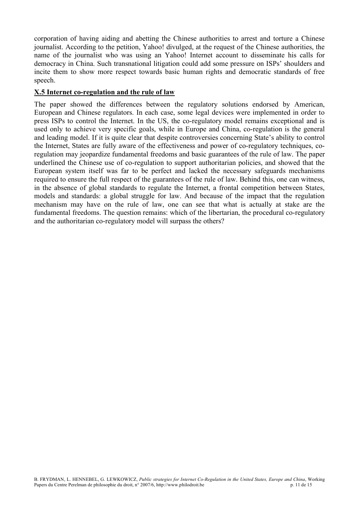corporation of having aiding and abetting the Chinese authorities to arrest and torture a Chinese journalist. According to the petition, Yahoo! divulged, at the request of the Chinese authorities, the name of the journalist who was using an Yahoo! Internet account to disseminate his calls for democracy in China. Such transnational litigation could add some pressure on ISPs' shoulders and incite them to show more respect towards basic human rights and democratic standards of free speech.

## **X.5 Internet co-regulation and the rule of law**

The paper showed the differences between the regulatory solutions endorsed by American, European and Chinese regulators. In each case, some legal devices were implemented in order to press ISPs to control the Internet. In the US, the co-regulatory model remains exceptional and is used only to achieve very specific goals, while in Europe and China, co-regulation is the general and leading model. If it is quite clear that despite controversies concerning State's ability to control the Internet, States are fully aware of the effectiveness and power of co-regulatory techniques, coregulation may jeopardize fundamental freedoms and basic guarantees of the rule of law. The paper underlined the Chinese use of co-regulation to support authoritarian policies, and showed that the European system itself was far to be perfect and lacked the necessary safeguards mechanisms required to ensure the full respect of the guarantees of the rule of law. Behind this, one can witness, in the absence of global standards to regulate the Internet, a frontal competition between States, models and standards: a global struggle for law. And because of the impact that the regulation mechanism may have on the rule of law, one can see that what is actually at stake are the fundamental freedoms. The question remains: which of the libertarian, the procedural co-regulatory and the authoritarian co-regulatory model will surpass the others?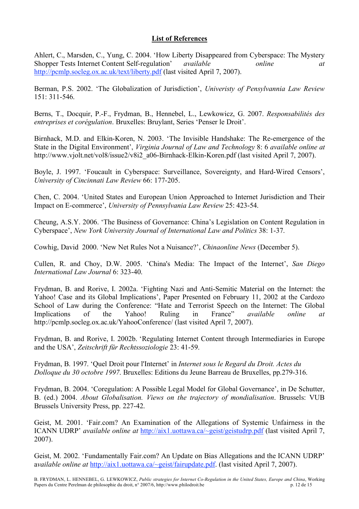#### **List of References**

Ahlert, C., Marsden, C., Yung, C. 2004. 'How Liberty Disappeared from Cyberspace: The Mystery Shopper Tests Internet Content Self-regulation' *available online at* http://pcmlp.socleg.ox.ac.uk/text/liberty.pdf (last visited April 7, 2007).

Berman, P.S. 2002. 'The Globalization of Jurisdiction', *Univeristy of Pensylvannia Law Review* 151: 311-546.

Berns, T., Docquir, P.-F., Frydman, B., Hennebel, L., Lewkowicz, G. 2007. *Responsabilités des entreprises et corégulation*. Bruxelles: Bruylant, Series 'Penser le Droit'.

Birnhack, M.D. and Elkin-Koren, N. 2003. 'The Invisible Handshake: The Re-emergence of the State in the Digital Environment', *Virginia Journal of Law and Technology* 8: 6 *available online at* http://www.vjolt.net/vol8/issue2/v8i2\_a06-Birnhack-Elkin-Koren.pdf (last visited April 7, 2007).

Boyle, J. 1997. 'Foucault in Cyberspace: Surveillance, Sovereignty, and Hard-Wired Censors', *University of Cincinnati Law Review* 66: 177-205.

Chen, C. 2004. 'United States and European Union Approached to Internet Jurisdiction and Their Impact on E-commerce', *University of Pennsylvania Law Review* 25: 423-54.

Cheung, A.S.Y. 2006. 'The Business of Governance: China's Legislation on Content Regulation in Cyberspace', *New York University Journal of International Law and Politics* 38: 1-37.

Cowhig, David 2000. 'New Net Rules Not a Nuisance?', *Chinaonline News* (December 5).

Cullen, R. and Choy, D.W. 2005. 'China's Media: The Impact of the Internet', *San Diego International Law Journal* 6: 323-40.

Frydman, B. and Rorive, I. 2002a. 'Fighting Nazi and Anti-Semitic Material on the Internet: the Yahoo! Case and its Global Implications', Paper Presented on February 11, 2002 at the Cardozo School of Law during the Conference: "Hate and Terrorist Speech on the Internet: The Global Implications of the Yahoo! Ruling in France" *available online at* http://pcmlp.socleg.ox.ac.uk/YahooConference/ (last visited April 7, 2007).

Frydman, B. and Rorive, I. 2002b. 'Regulating Internet Content through Intermediaries in Europe and the USA', *Zeitschrift für Rechtssoziologie* 23: 41-59.

Frydman, B. 1997. 'Quel Droit pour l'Internet' in *Internet sous le Regard du Droit. Actes du Dolloque du 30 octobre 1997*. Bruxelles: Editions du Jeune Barreau de Bruxelles, pp.279-316.

Frydman, B. 2004. 'Coregulation: A Possible Legal Model for Global Governance', in De Schutter, B. (ed.) 2004. *About Globalisation. Views on the trajectory of mondialisation*. Brussels: VUB Brussels University Press, pp. 227-42.

Geist, M. 2001. 'Fair.com? An Examination of the Allegations of Systemic Unfairness in the ICANN UDRP' *available online at* http://aix1.uottawa.ca/~geist/geistudrp.pdf (last visited April 7, 2007).

Geist, M. 2002. 'Fundamentally Fair.com? An Update on Bias Allegations and the ICANN UDRP' a*vailable online at* http://aix1.uottawa.ca/~geist/fairupdate.pdf. (last visited April 7, 2007).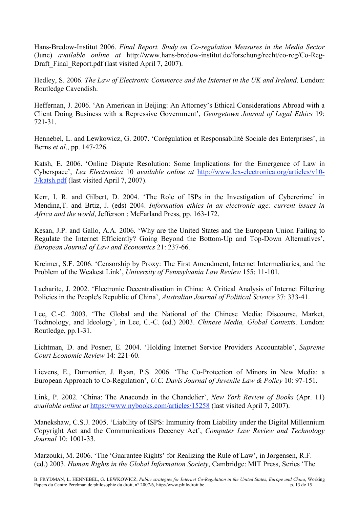Hans-Bredow-Institut 2006. *Final Report. Study on Co-regulation Measures in the Media Sector* (June) *available online at* http://www.hans-bredow-institut.de/forschung/recht/co-reg/Co-Reg-Draft Final Report.pdf (last visited April 7, 2007).

Hedley, S. 2006. *The Law of Electronic Commerce and the Internet in the UK and Ireland*. London: Routledge Cavendish.

Heffernan, J. 2006. 'An American in Beijing: An Attorney's Ethical Considerations Abroad with a Client Doing Business with a Repressive Government', *Georgetown Journal of Legal Ethics* 19: 721-31.

Hennebel, L. and Lewkowicz, G. 2007. 'Corégulation et Responsabilité Sociale des Enterprises', in Berns *et al*., pp. 147-226.

Katsh, E. 2006. 'Online Dispute Resolution: Some Implications for the Emergence of Law in Cyberspace', *Lex Electronica* 10 *available online at* http://www.lex-electronica.org/articles/v10- 3/katsh.pdf (last visited April 7, 2007).

Kerr, I. R. and Gilbert, D. 2004. 'The Role of ISPs in the Investigation of Cybercrime' in Mendina,T. and Brtiz, J. (eds) 2004. *Information ethics in an electronic age: current issues in Africa and the world*, Jefferson : McFarland Press, pp. 163-172.

Kesan, J.P. and Gallo, A.A. 2006. 'Why are the United States and the European Union Failing to Regulate the Internet Efficiently? Going Beyond the Bottom-Up and Top-Down Alternatives', *European Journal of Law and Economics* 21: 237-66.

Kreimer, S.F. 2006. 'Censorship by Proxy: The First Amendment, Internet Intermediaries, and the Problem of the Weakest Link', *University of Pennsylvania Law Review* 155: 11-101.

Lacharite, J. 2002. 'Electronic Decentralisation in China: A Critical Analysis of Internet Filtering Policies in the People's Republic of China', *Australian Journal of Political Science* 37: 333-41.

Lee, C.-C. 2003. 'The Global and the National of the Chinese Media: Discourse, Market, Technology, and Ideology', in Lee, C.-C. (ed.) 2003. *Chinese Media, Global Contexts*. London: Routledge, pp.1-31.

Lichtman, D. and Posner, E. 2004. 'Holding Internet Service Providers Accountable', *Supreme Court Economic Review* 14: 221-60.

Lievens, E., Dumortier, J. Ryan, P.S. 2006. 'The Co-Protection of Minors in New Media: a European Approach to Co-Regulation', *U.C. Davis Journal of Juvenile Law & Policy* 10: 97-151.

Link, P. 2002. 'China: The Anaconda in the Chandelier', *New York Review of Books* (Apr. 11) *available online at* https://www.nybooks.com/articles/15258 (last visited April 7, 2007).

Manekshaw, C.S.J. 2005. 'Liability of ISPS: Immunity from Liability under the Digital Millennium Copyright Act and the Communications Decency Act', *Computer Law Review and Technology Journal* 10: 1001-33.

Marzouki, M. 2006. 'The 'Guarantee Rights' for Realizing the Rule of Law', in Jørgensen, R.F. (ed.) 2003. *Human Rights in the Global Information Society*, Cambridge: MIT Press, Series 'The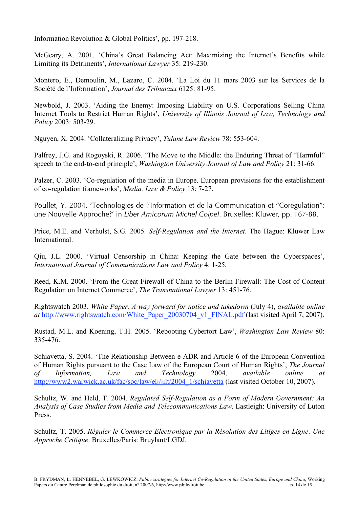Information Revolution & Global Politics', pp. 197-218.

McGeary, A. 2001. 'China's Great Balancing Act: Maximizing the Internet's Benefits while Limiting its Detriments', *International Lawyer* 35: 219-230.

Montero, E., Demoulin, M., Lazaro, C. 2004. 'La Loi du 11 mars 2003 sur les Services de la Société de l'Information', *Journal des Tribunaux* 6125: 81-95.

Newbold, J. 2003. 'Aiding the Enemy: Imposing Liability on U.S. Corporations Selling China Internet Tools to Restrict Human Rights', *University of Illinois Journal of Law, Technology and Policy* 2003: 503-29.

Nguyen, X. 2004. 'Collateralizing Privacy', *Tulane Law Review* 78: 553-604.

Palfrey, J.G. and Rogoyski, R. 2006. 'The Move to the Middle: the Enduring Threat of "Harmful" speech to the end-to-end principle', *Washington University Journal of Law and Policy* 21: 31-66.

Palzer, C. 2003. 'Co-regulation of the media in Europe. European provisions for the establishment of co-regulation frameworks', *Media, Law & Policy* 13: 7-27.

Poullet, Y. 2004. 'Technologies de l'Information et de la Communication et "Coregulation": une Nouvelle Approche?' in *Liber Amicorum Michel Coipel*. Bruxelles: Kluwer, pp. 167-88.

Price, M.E. and Verhulst, S.G. 2005. *Self-Regulation and the Internet*. The Hague: Kluwer Law International.

Qiu, J.L. 2000. 'Virtual Censorship in China: Keeping the Gate between the Cyberspaces', *International Journal of Communications Law and Policy* 4: 1-25.

Reed, K.M. 2000. 'From the Great Firewall of China to the Berlin Firewall: The Cost of Content Regulation on Internet Commerce', *The Transnational Lawyer* 13: 451-76.

Rightswatch 2003. *White Paper. A way forward for notice and takedown* (July 4), *available online at* http://www.rightswatch.com/White\_Paper\_20030704\_v1\_FINAL.pdf (last visited April 7, 2007).

Rustad, M.L. and Koening, T.H. 2005. 'Rebooting Cybertort Law', *Washington Law Review* 80: 335-476.

Schiavetta, S. 2004. 'The Relationship Between e-ADR and Article 6 of the European Convention of Human Rights pursuant to the Case Law of the European Court of Human Rights', *The Journal of Information, Law and Technology* 2004, *available online at* http://www2.warwick.ac.uk/fac/soc/law/elj/jilt/2004\_1/schiavetta (last visited October 10, 2007).

Schultz, W. and Held, T. 2004. *Regulated Self-Regulation as a Form of Modern Government: An Analysis of Case Studies from Media and Telecommunications Law*. Eastleigh: University of Luton Press.

Schultz, T. 2005. *Réguler le Commerce Electronique par la Résolution des Litiges en Ligne*. *Une Approche Critique*. Bruxelles/Paris: Bruylant/LGDJ.